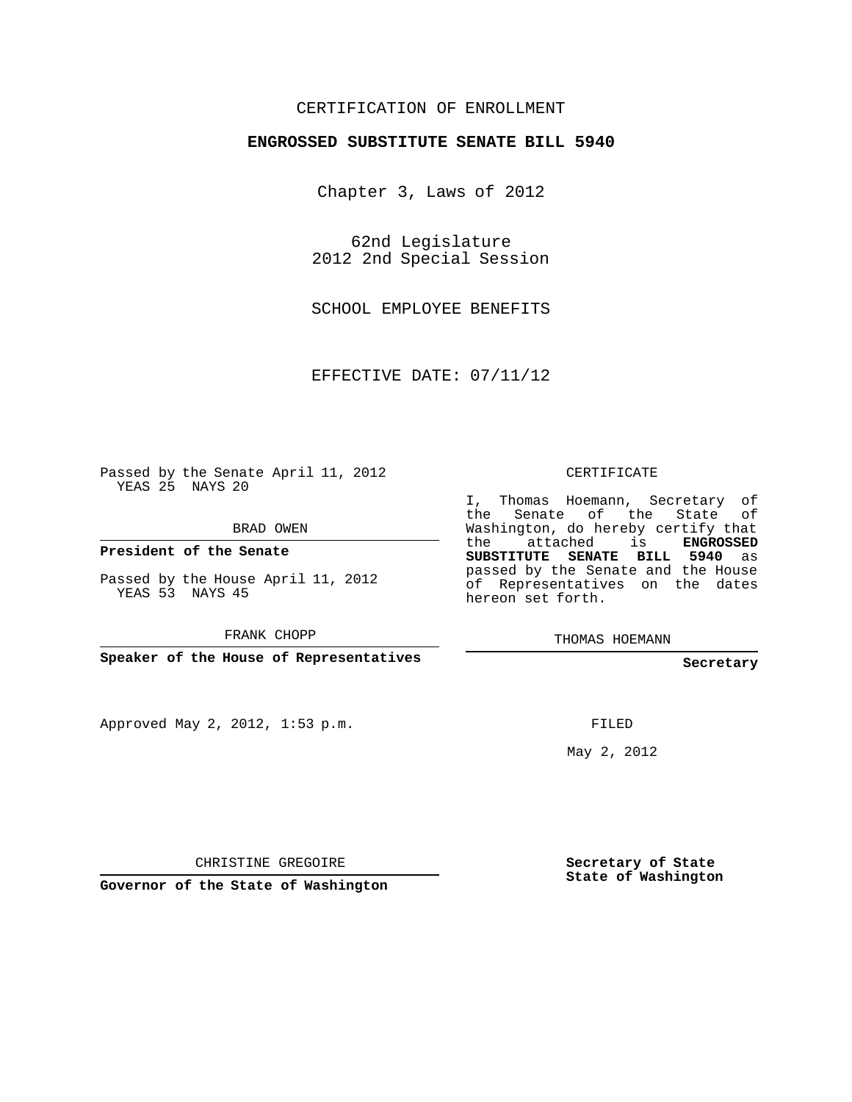### CERTIFICATION OF ENROLLMENT

#### **ENGROSSED SUBSTITUTE SENATE BILL 5940**

Chapter 3, Laws of 2012

62nd Legislature 2012 2nd Special Session

SCHOOL EMPLOYEE BENEFITS

EFFECTIVE DATE: 07/11/12

Passed by the Senate April 11, 2012 YEAS 25 NAYS 20

BRAD OWEN

**President of the Senate**

Passed by the House April 11, 2012 YEAS 53 NAYS 45

FRANK CHOPP

**Speaker of the House of Representatives**

Approved May 2, 2012, 1:53 p.m.

CERTIFICATE

I, Thomas Hoemann, Secretary of the Senate of the State of Washington, do hereby certify that the attached is **ENGROSSED SUBSTITUTE SENATE BILL 5940** as passed by the Senate and the House of Representatives on the dates hereon set forth.

THOMAS HOEMANN

**Secretary**

FILED

May 2, 2012

**Secretary of State State of Washington**

CHRISTINE GREGOIRE

**Governor of the State of Washington**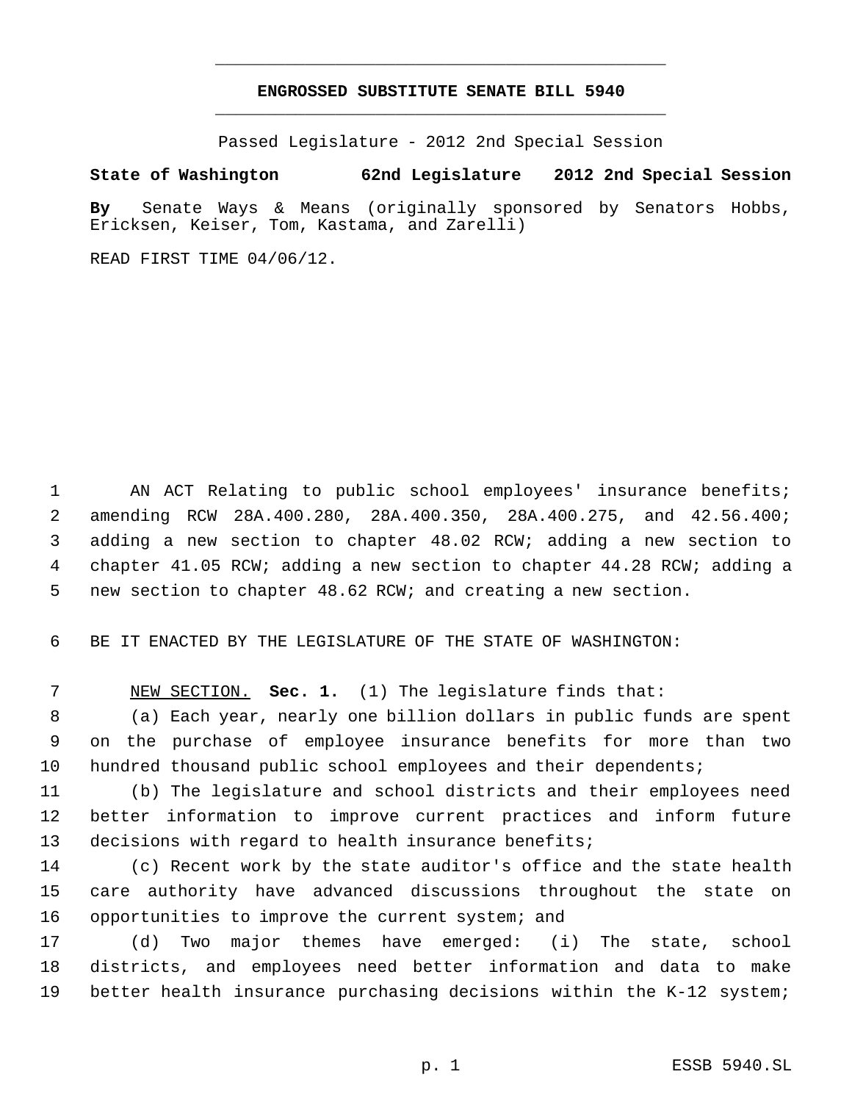# **ENGROSSED SUBSTITUTE SENATE BILL 5940** \_\_\_\_\_\_\_\_\_\_\_\_\_\_\_\_\_\_\_\_\_\_\_\_\_\_\_\_\_\_\_\_\_\_\_\_\_\_\_\_\_\_\_\_\_

\_\_\_\_\_\_\_\_\_\_\_\_\_\_\_\_\_\_\_\_\_\_\_\_\_\_\_\_\_\_\_\_\_\_\_\_\_\_\_\_\_\_\_\_\_

Passed Legislature - 2012 2nd Special Session

## **State of Washington 62nd Legislature 2012 2nd Special Session**

**By** Senate Ways & Means (originally sponsored by Senators Hobbs, Ericksen, Keiser, Tom, Kastama, and Zarelli)

READ FIRST TIME 04/06/12.

 AN ACT Relating to public school employees' insurance benefits; amending RCW 28A.400.280, 28A.400.350, 28A.400.275, and 42.56.400; adding a new section to chapter 48.02 RCW; adding a new section to chapter 41.05 RCW; adding a new section to chapter 44.28 RCW; adding a new section to chapter 48.62 RCW; and creating a new section.

BE IT ENACTED BY THE LEGISLATURE OF THE STATE OF WASHINGTON:

NEW SECTION. **Sec. 1.** (1) The legislature finds that:

 (a) Each year, nearly one billion dollars in public funds are spent on the purchase of employee insurance benefits for more than two hundred thousand public school employees and their dependents;

 (b) The legislature and school districts and their employees need better information to improve current practices and inform future decisions with regard to health insurance benefits;

 (c) Recent work by the state auditor's office and the state health care authority have advanced discussions throughout the state on opportunities to improve the current system; and

 (d) Two major themes have emerged: (i) The state, school districts, and employees need better information and data to make better health insurance purchasing decisions within the K-12 system;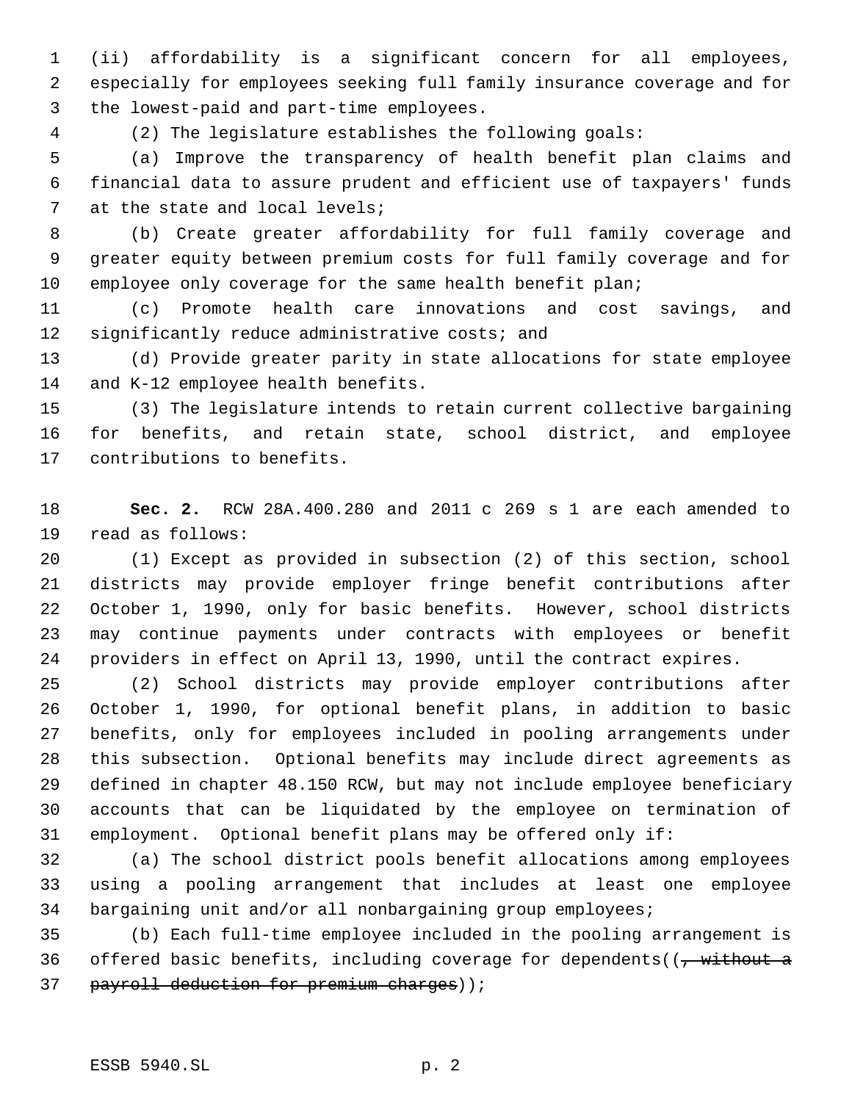(ii) affordability is a significant concern for all employees, especially for employees seeking full family insurance coverage and for the lowest-paid and part-time employees.

(2) The legislature establishes the following goals:

 (a) Improve the transparency of health benefit plan claims and financial data to assure prudent and efficient use of taxpayers' funds at the state and local levels;

 (b) Create greater affordability for full family coverage and greater equity between premium costs for full family coverage and for 10 employee only coverage for the same health benefit plan;

 (c) Promote health care innovations and cost savings, and 12 significantly reduce administrative costs; and

 (d) Provide greater parity in state allocations for state employee and K-12 employee health benefits.

 (3) The legislature intends to retain current collective bargaining for benefits, and retain state, school district, and employee contributions to benefits.

 **Sec. 2.** RCW 28A.400.280 and 2011 c 269 s 1 are each amended to read as follows:

 (1) Except as provided in subsection (2) of this section, school districts may provide employer fringe benefit contributions after October 1, 1990, only for basic benefits. However, school districts may continue payments under contracts with employees or benefit providers in effect on April 13, 1990, until the contract expires.

 (2) School districts may provide employer contributions after October 1, 1990, for optional benefit plans, in addition to basic benefits, only for employees included in pooling arrangements under this subsection. Optional benefits may include direct agreements as defined in chapter 48.150 RCW, but may not include employee beneficiary accounts that can be liquidated by the employee on termination of employment. Optional benefit plans may be offered only if:

 (a) The school district pools benefit allocations among employees using a pooling arrangement that includes at least one employee bargaining unit and/or all nonbargaining group employees;

 (b) Each full-time employee included in the pooling arrangement is 36 offered basic benefits, including coverage for dependents( $\left(\frac{1}{f} + \frac{1}{f}\right)$ 37 payroll deduction for premium charges) );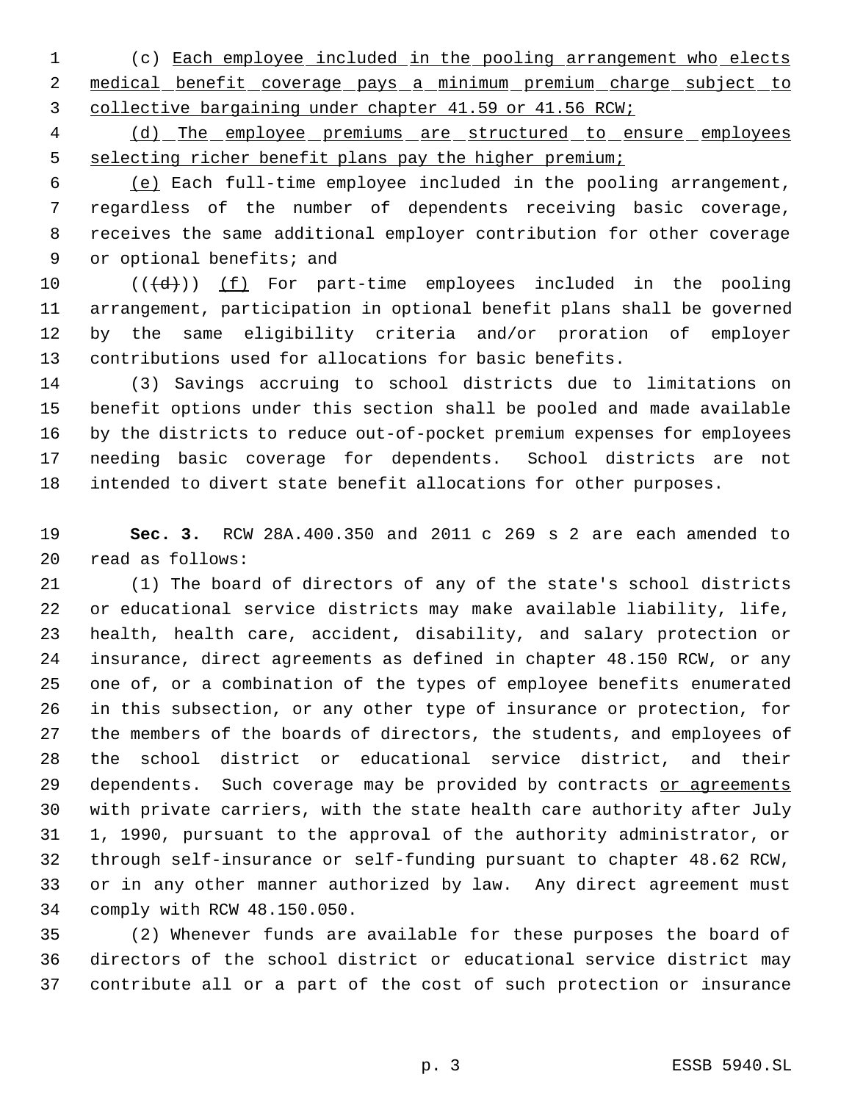(c) Each employee included in the pooling arrangement who elects 2 medical benefit coverage pays a minimum premium charge subject to collective bargaining under chapter 41.59 or 41.56 RCW;

 (d) The employee premiums are structured to ensure employees 5 selecting richer benefit plans pay the higher premium;

 (e) Each full-time employee included in the pooling arrangement, regardless of the number of dependents receiving basic coverage, receives the same additional employer contribution for other coverage 9 or optional benefits; and

 $((\{d\})$   $(f)$  For part-time employees included in the pooling arrangement, participation in optional benefit plans shall be governed by the same eligibility criteria and/or proration of employer contributions used for allocations for basic benefits.

 (3) Savings accruing to school districts due to limitations on benefit options under this section shall be pooled and made available by the districts to reduce out-of-pocket premium expenses for employees needing basic coverage for dependents. School districts are not intended to divert state benefit allocations for other purposes.

 **Sec. 3.** RCW 28A.400.350 and 2011 c 269 s 2 are each amended to read as follows:

 (1) The board of directors of any of the state's school districts or educational service districts may make available liability, life, health, health care, accident, disability, and salary protection or insurance, direct agreements as defined in chapter 48.150 RCW, or any one of, or a combination of the types of employee benefits enumerated in this subsection, or any other type of insurance or protection, for the members of the boards of directors, the students, and employees of the school district or educational service district, and their 29 dependents. Such coverage may be provided by contracts or agreements with private carriers, with the state health care authority after July 1, 1990, pursuant to the approval of the authority administrator, or through self-insurance or self-funding pursuant to chapter 48.62 RCW, or in any other manner authorized by law. Any direct agreement must comply with RCW 48.150.050.

 (2) Whenever funds are available for these purposes the board of directors of the school district or educational service district may contribute all or a part of the cost of such protection or insurance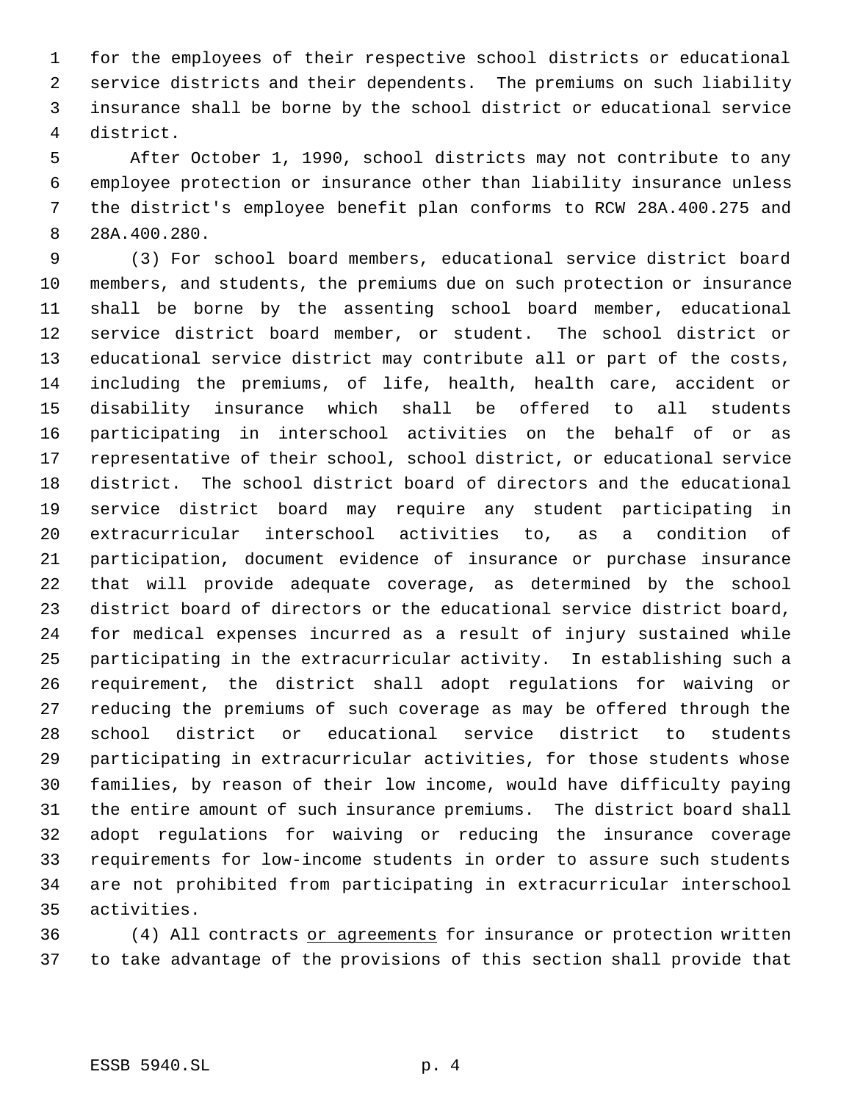for the employees of their respective school districts or educational service districts and their dependents. The premiums on such liability insurance shall be borne by the school district or educational service district.

 After October 1, 1990, school districts may not contribute to any employee protection or insurance other than liability insurance unless the district's employee benefit plan conforms to RCW 28A.400.275 and 28A.400.280.

 (3) For school board members, educational service district board members, and students, the premiums due on such protection or insurance shall be borne by the assenting school board member, educational service district board member, or student. The school district or educational service district may contribute all or part of the costs, including the premiums, of life, health, health care, accident or disability insurance which shall be offered to all students participating in interschool activities on the behalf of or as representative of their school, school district, or educational service district. The school district board of directors and the educational service district board may require any student participating in extracurricular interschool activities to, as a condition of participation, document evidence of insurance or purchase insurance that will provide adequate coverage, as determined by the school district board of directors or the educational service district board, for medical expenses incurred as a result of injury sustained while participating in the extracurricular activity. In establishing such a requirement, the district shall adopt regulations for waiving or reducing the premiums of such coverage as may be offered through the school district or educational service district to students participating in extracurricular activities, for those students whose families, by reason of their low income, would have difficulty paying the entire amount of such insurance premiums. The district board shall adopt regulations for waiving or reducing the insurance coverage requirements for low-income students in order to assure such students are not prohibited from participating in extracurricular interschool activities.

 (4) All contracts or agreements for insurance or protection written to take advantage of the provisions of this section shall provide that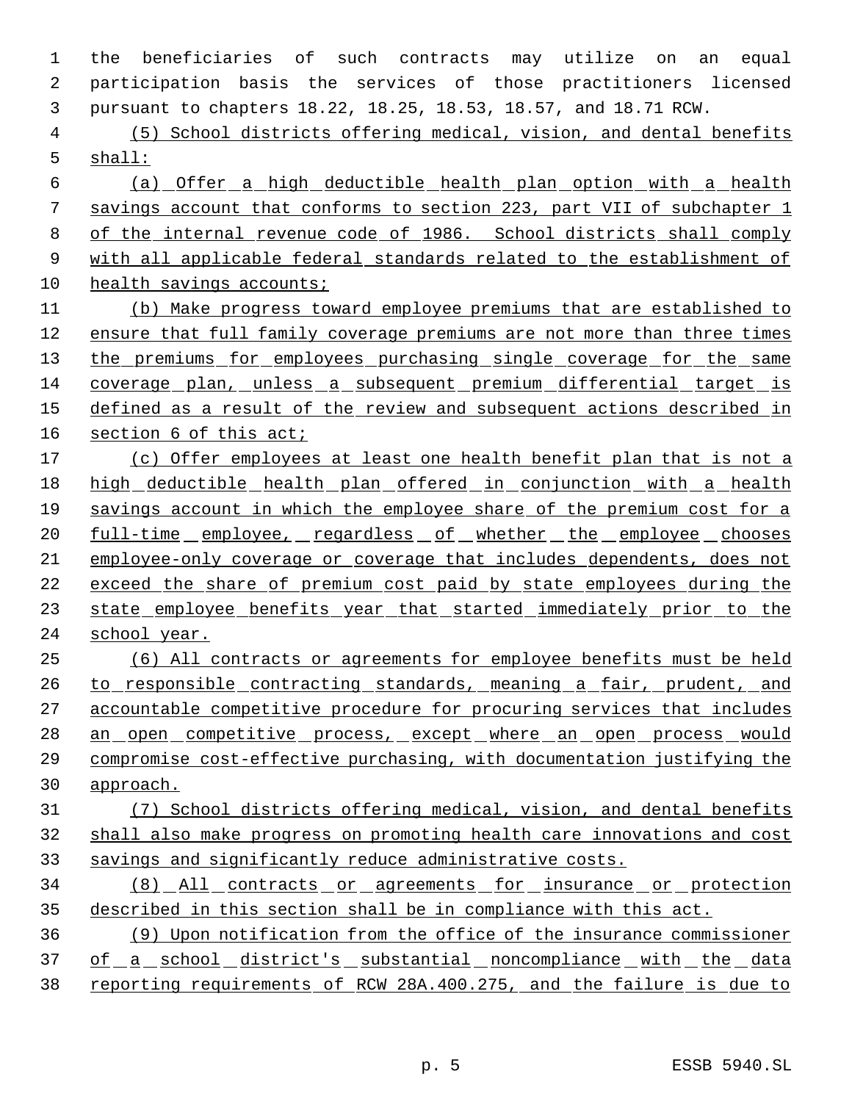the beneficiaries of such contracts may utilize on an equal participation basis the services of those practitioners licensed pursuant to chapters 18.22, 18.25, 18.53, 18.57, and 18.71 RCW.

 (5) School districts offering medical, vision, and dental benefits shall:

 (a) Offer a high deductible health plan option with a health savings account that conforms to section 223, part VII of subchapter 1 of the internal revenue code of 1986. School districts shall comply 9 with all applicable federal standards related to the establishment of 10 health savings accounts;

 (b) Make progress toward employee premiums that are established to ensure that full family coverage premiums are not more than three times 13 the premiums for employees purchasing single coverage for the same coverage plan, unless a subsequent premium differential target is defined as a result of the review and subsequent actions described in section 6 of this act;

 (c) Offer employees at least one health benefit plan that is not a 18 high deductible health plan offered in conjunction with a health savings account in which the employee share of the premium cost for a 20 full-time employee, regardless of whether the employee chooses employee-only coverage or coverage that includes dependents, does not exceed the share of premium cost paid by state employees during the 23 state employee benefits year that started immediately prior to the school year.

 (6) All contracts or agreements for employee benefits must be held 26 to responsible contracting standards, meaning a fair, prudent, and accountable competitive procedure for procuring services that includes 28 an open competitive process, except where an open process would compromise cost-effective purchasing, with documentation justifying the approach.

# (7) School districts offering medical, vision, and dental benefits shall also make progress on promoting health care innovations and cost savings and significantly reduce administrative costs.

 (8) All contracts or agreements for insurance or protection described in this section shall be in compliance with this act.

 (9) Upon notification from the office of the insurance commissioner 37 of a school district's substantial noncompliance with the data reporting requirements of RCW 28A.400.275, and the failure is due to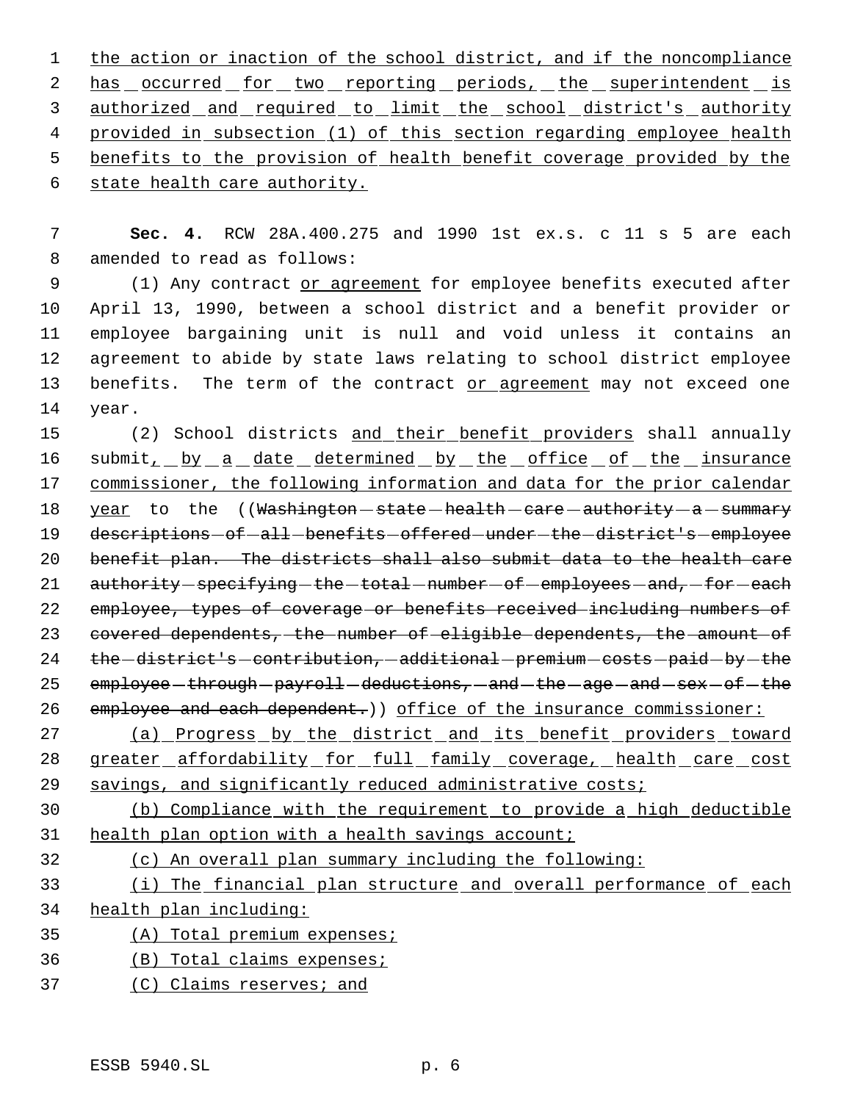1 the action or inaction of the school district, and if the noncompliance 2 has occurred for two reporting periods, the superintendent is 3 authorized and required to limit the school district's authority 4 provided in subsection (1) of this section regarding employee health benefits to the provision of health benefit coverage provided by the

state health care authority.

 **Sec. 4.** RCW 28A.400.275 and 1990 1st ex.s. c 11 s 5 are each amended to read as follows:

9 (1) Any contract or agreement for employee benefits executed after April 13, 1990, between a school district and a benefit provider or employee bargaining unit is null and void unless it contains an agreement to abide by state laws relating to school district employee benefits. The term of the contract or agreement may not exceed one year.

15 (2) School districts and their benefit providers shall annually 16 submit<sub>1</sub> by a date determined by the office of the insurance commissioner, the following information and data for the prior calendar 18 year to the ((Washington-state-health-care-authority-a-summary 19 descriptions-of-all-benefits-offered-under-the-district's-employee benefit plan. The districts shall also submit data to the health care 21 authority - specifying - the - total - number - of - employees - and, - for - each employee, types of coverage or benefits received including numbers of 23 covered dependents, the number of eligible dependents, the amount of 24 the -district's -contribution, -additional -premium -costs -paid -by -the employee - through - payroll - deductions,  $-$  and  $-$  the  $-$  age  $-$  and  $-$  sex  $-$  of  $-$  the 26 employee and each dependent.) office of the insurance commissioner:

 (a) Progress by the district and its benefit providers toward greater affordability for full family coverage, health care cost 29 savings, and significantly reduced administrative costs;

 (b) Compliance with the requirement to provide a high deductible health plan option with a health savings account;

(c) An overall plan summary including the following:

 (i) The financial plan structure and overall performance of each health plan including:

(A) Total premium expenses;

- (B) Total claims expenses;
- (C) Claims reserves; and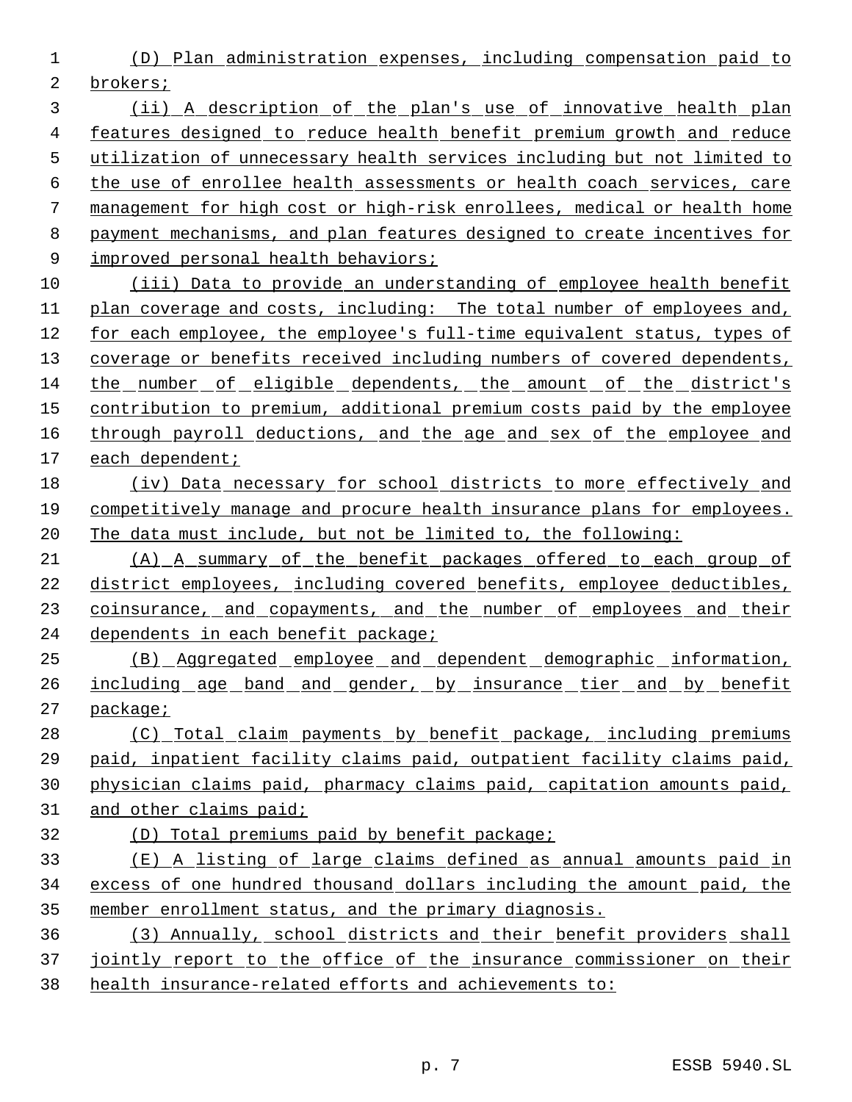(D) Plan administration expenses, including compensation paid to brokers;

 (ii) A description of the plan's use of innovative health plan features designed to reduce health benefit premium growth and reduce utilization of unnecessary health services including but not limited to the use of enrollee health assessments or health coach services, care management for high cost or high-risk enrollees, medical or health home payment mechanisms, and plan features designed to create incentives for 9 improved personal health behaviors;

 (iii) Data to provide an understanding of employee health benefit 11 plan coverage and costs, including: The total number of employees and, for each employee, the employee's full-time equivalent status, types of coverage or benefits received including numbers of covered dependents, the number of eligible dependents, the amount of the district's contribution to premium, additional premium costs paid by the employee 16 through payroll deductions, and the age and sex of the employee and each dependent;

 (iv) Data necessary for school districts to more effectively and competitively manage and procure health insurance plans for employees. The data must include, but not be limited to, the following:

 (A) A summary of the benefit packages offered to each group of district employees, including covered benefits, employee deductibles, 23 coinsurance, and copayments, and the number of employees and their 24 dependents in each benefit package;

- (B) Aggregated employee and dependent demographic information, 26 <u>including age band and gender, by insurance tier and by benefit</u> package;
- (C) Total claim payments by benefit package, including premiums paid, inpatient facility claims paid, outpatient facility claims paid,
- physician claims paid, pharmacy claims paid, capitation amounts paid,
- and other claims paid;
- (D) Total premiums paid by benefit package;
- (E) A listing of large claims defined as annual amounts paid in excess of one hundred thousand dollars including the amount paid, the member enrollment status, and the primary diagnosis.
- (3) Annually, school districts and their benefit providers shall 37 jointly report to the office of the insurance commissioner on their health insurance-related efforts and achievements to: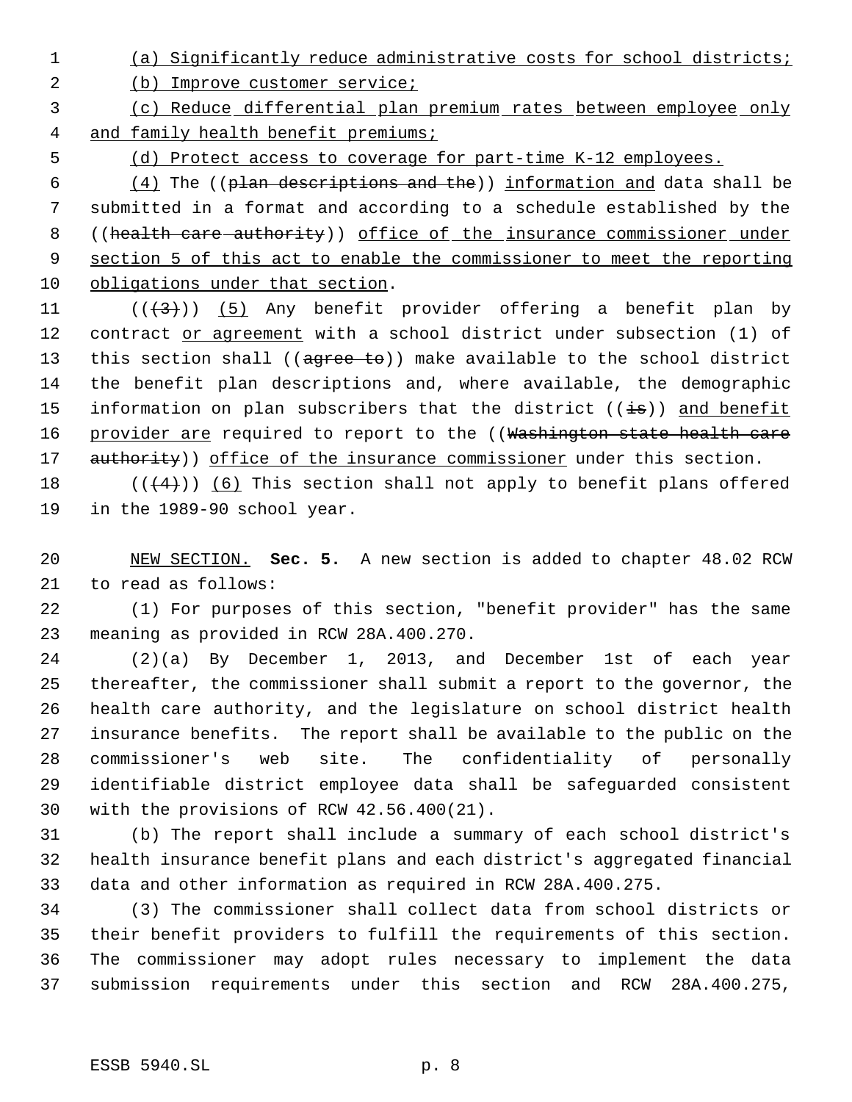(a) Significantly reduce administrative costs for school districts;

2 (b) Improve customer service;

 (c) Reduce differential plan premium rates between employee only 4 and family health benefit premiums;

(d) Protect access to coverage for part-time K-12 employees.

 $(4)$  The ((plan descriptions and the)) information and data shall be submitted in a format and according to a schedule established by the 8 ((health care authority)) office of the insurance commissioner under section 5 of this act to enable the commissioner to meet the reporting obligations under that section.

11  $((+3))$   $(5)$  Any benefit provider offering a benefit plan by 12 contract or agreement with a school district under subsection (1) of 13 this section shall ((agree to)) make available to the school district the benefit plan descriptions and, where available, the demographic 15 information on plan subscribers that the district  $((\frac{1}{18}))$  and benefit 16 provider are required to report to the ((Washington state health care 17 authority)) office of the insurance commissioner under this section.

18  $((+4))$  (6) This section shall not apply to benefit plans offered in the 1989-90 school year.

 NEW SECTION. **Sec. 5.** A new section is added to chapter 48.02 RCW to read as follows:

 (1) For purposes of this section, "benefit provider" has the same meaning as provided in RCW 28A.400.270.

 (2)(a) By December 1, 2013, and December 1st of each year thereafter, the commissioner shall submit a report to the governor, the health care authority, and the legislature on school district health insurance benefits. The report shall be available to the public on the commissioner's web site. The confidentiality of personally identifiable district employee data shall be safeguarded consistent with the provisions of RCW 42.56.400(21).

 (b) The report shall include a summary of each school district's health insurance benefit plans and each district's aggregated financial data and other information as required in RCW 28A.400.275.

 (3) The commissioner shall collect data from school districts or their benefit providers to fulfill the requirements of this section. The commissioner may adopt rules necessary to implement the data submission requirements under this section and RCW 28A.400.275,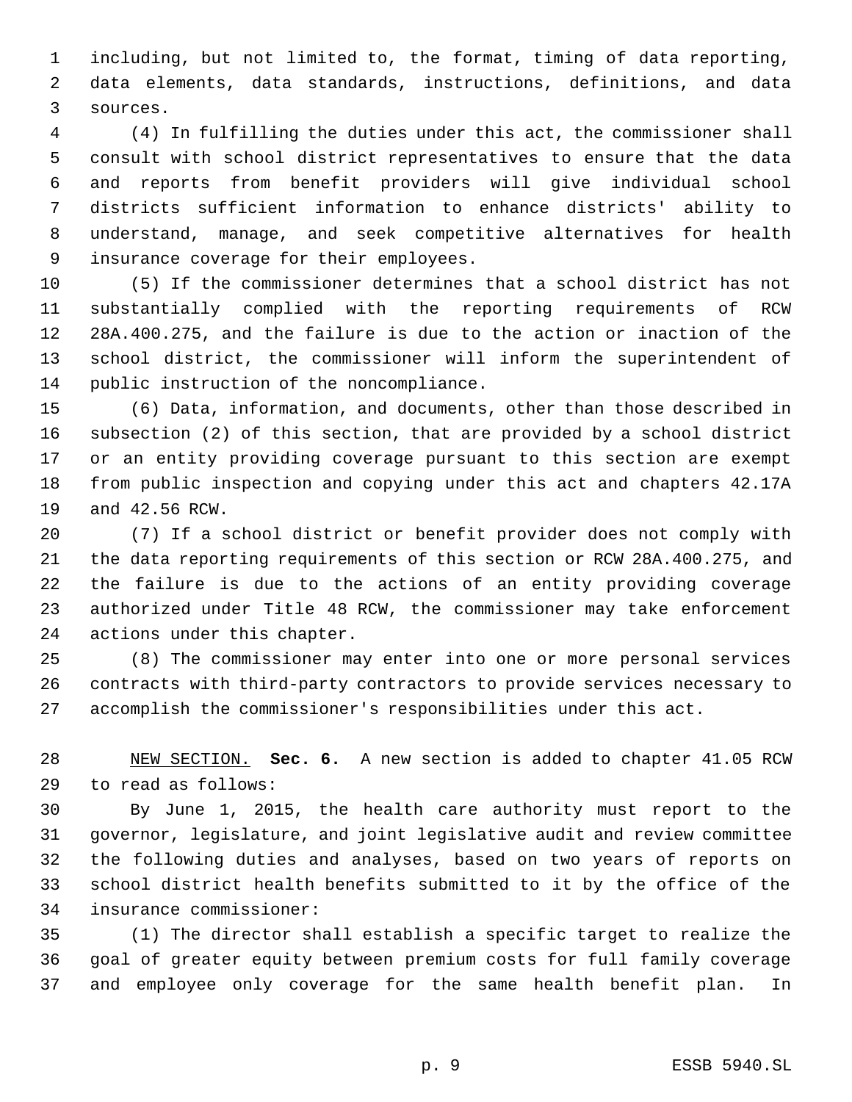including, but not limited to, the format, timing of data reporting, data elements, data standards, instructions, definitions, and data sources.

 (4) In fulfilling the duties under this act, the commissioner shall consult with school district representatives to ensure that the data and reports from benefit providers will give individual school districts sufficient information to enhance districts' ability to understand, manage, and seek competitive alternatives for health insurance coverage for their employees.

 (5) If the commissioner determines that a school district has not substantially complied with the reporting requirements of RCW 28A.400.275, and the failure is due to the action or inaction of the school district, the commissioner will inform the superintendent of public instruction of the noncompliance.

 (6) Data, information, and documents, other than those described in subsection (2) of this section, that are provided by a school district or an entity providing coverage pursuant to this section are exempt from public inspection and copying under this act and chapters 42.17A and 42.56 RCW.

 (7) If a school district or benefit provider does not comply with the data reporting requirements of this section or RCW 28A.400.275, and the failure is due to the actions of an entity providing coverage authorized under Title 48 RCW, the commissioner may take enforcement actions under this chapter.

 (8) The commissioner may enter into one or more personal services contracts with third-party contractors to provide services necessary to accomplish the commissioner's responsibilities under this act.

 NEW SECTION. **Sec. 6.** A new section is added to chapter 41.05 RCW to read as follows:

 By June 1, 2015, the health care authority must report to the governor, legislature, and joint legislative audit and review committee the following duties and analyses, based on two years of reports on school district health benefits submitted to it by the office of the insurance commissioner:

 (1) The director shall establish a specific target to realize the goal of greater equity between premium costs for full family coverage and employee only coverage for the same health benefit plan. In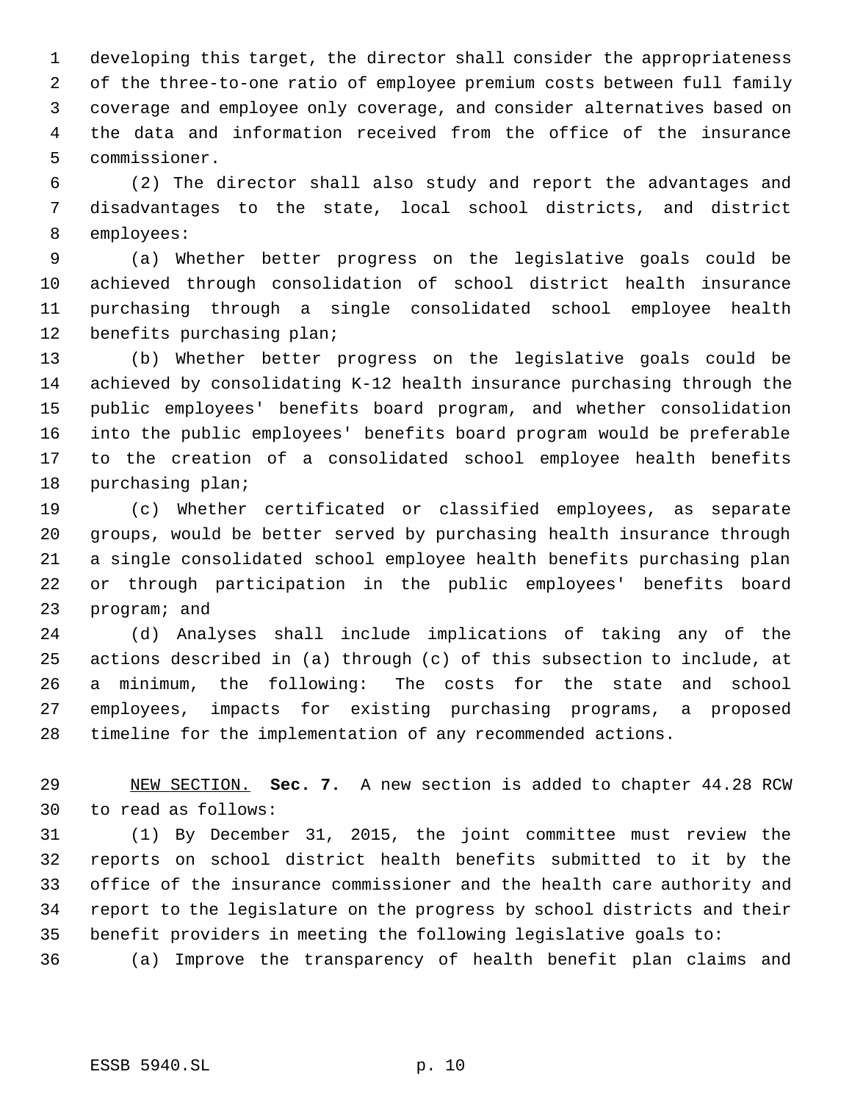developing this target, the director shall consider the appropriateness of the three-to-one ratio of employee premium costs between full family coverage and employee only coverage, and consider alternatives based on the data and information received from the office of the insurance commissioner.

 (2) The director shall also study and report the advantages and disadvantages to the state, local school districts, and district employees:

 (a) Whether better progress on the legislative goals could be achieved through consolidation of school district health insurance purchasing through a single consolidated school employee health benefits purchasing plan;

 (b) Whether better progress on the legislative goals could be achieved by consolidating K-12 health insurance purchasing through the public employees' benefits board program, and whether consolidation into the public employees' benefits board program would be preferable to the creation of a consolidated school employee health benefits purchasing plan;

 (c) Whether certificated or classified employees, as separate groups, would be better served by purchasing health insurance through a single consolidated school employee health benefits purchasing plan or through participation in the public employees' benefits board program; and

 (d) Analyses shall include implications of taking any of the actions described in (a) through (c) of this subsection to include, at a minimum, the following: The costs for the state and school employees, impacts for existing purchasing programs, a proposed timeline for the implementation of any recommended actions.

 NEW SECTION. **Sec. 7.** A new section is added to chapter 44.28 RCW to read as follows:

 (1) By December 31, 2015, the joint committee must review the reports on school district health benefits submitted to it by the office of the insurance commissioner and the health care authority and report to the legislature on the progress by school districts and their benefit providers in meeting the following legislative goals to:

(a) Improve the transparency of health benefit plan claims and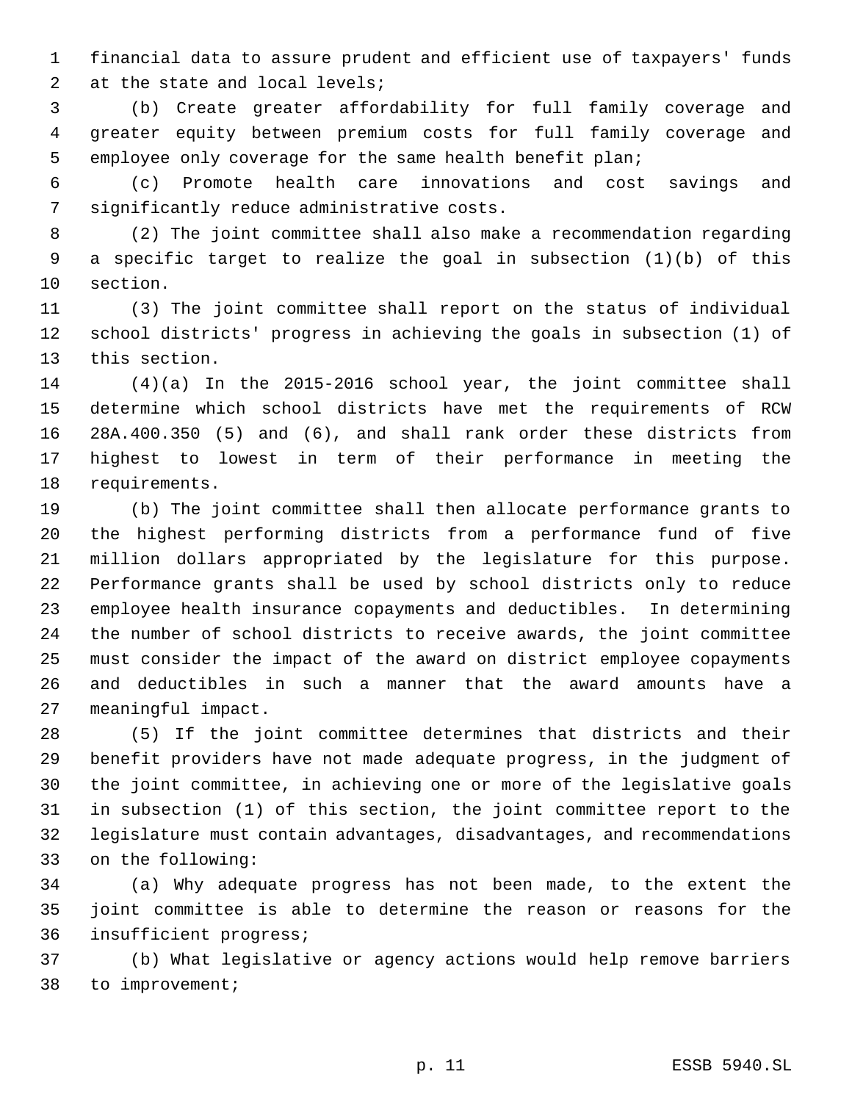financial data to assure prudent and efficient use of taxpayers' funds at the state and local levels;

 (b) Create greater affordability for full family coverage and greater equity between premium costs for full family coverage and employee only coverage for the same health benefit plan;

 (c) Promote health care innovations and cost savings and significantly reduce administrative costs.

 (2) The joint committee shall also make a recommendation regarding a specific target to realize the goal in subsection (1)(b) of this section.

 (3) The joint committee shall report on the status of individual school districts' progress in achieving the goals in subsection (1) of this section.

 (4)(a) In the 2015-2016 school year, the joint committee shall determine which school districts have met the requirements of RCW 28A.400.350 (5) and (6), and shall rank order these districts from highest to lowest in term of their performance in meeting the requirements.

 (b) The joint committee shall then allocate performance grants to the highest performing districts from a performance fund of five million dollars appropriated by the legislature for this purpose. Performance grants shall be used by school districts only to reduce employee health insurance copayments and deductibles. In determining the number of school districts to receive awards, the joint committee must consider the impact of the award on district employee copayments and deductibles in such a manner that the award amounts have a meaningful impact.

 (5) If the joint committee determines that districts and their benefit providers have not made adequate progress, in the judgment of the joint committee, in achieving one or more of the legislative goals in subsection (1) of this section, the joint committee report to the legislature must contain advantages, disadvantages, and recommendations on the following:

 (a) Why adequate progress has not been made, to the extent the joint committee is able to determine the reason or reasons for the insufficient progress;

 (b) What legislative or agency actions would help remove barriers to improvement;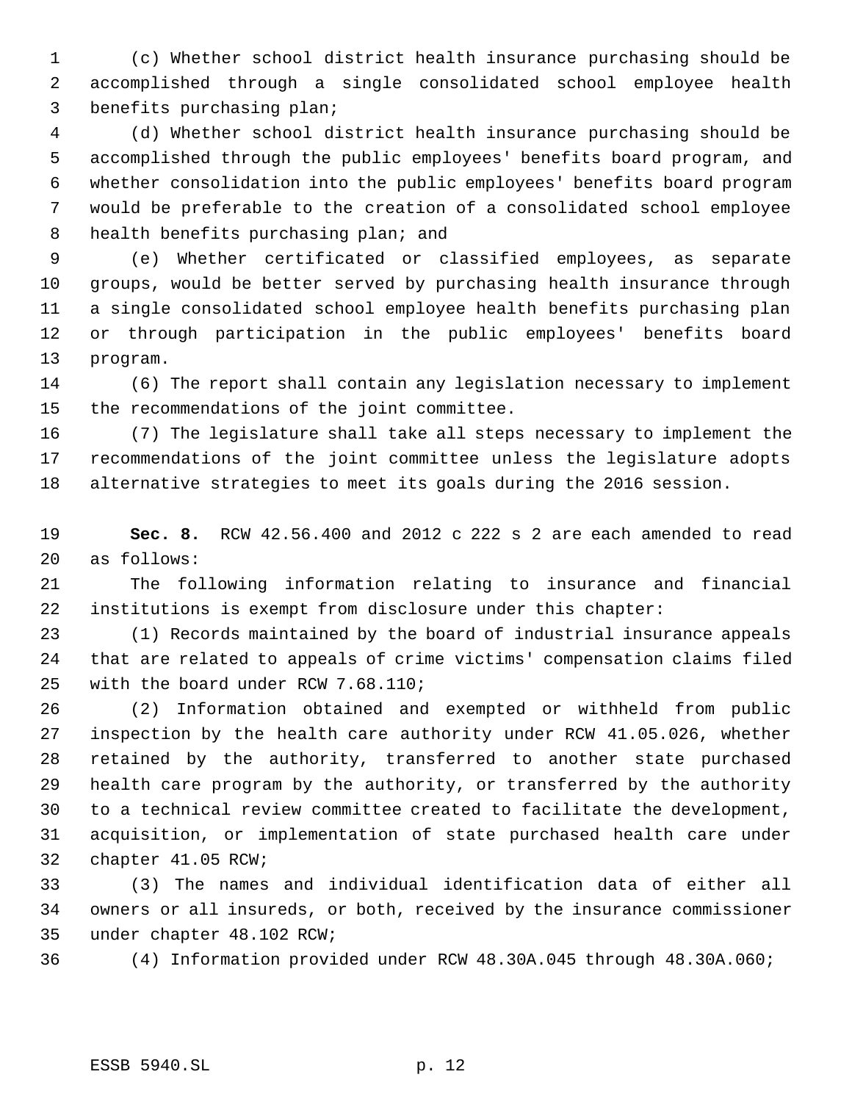(c) Whether school district health insurance purchasing should be accomplished through a single consolidated school employee health benefits purchasing plan;

 (d) Whether school district health insurance purchasing should be accomplished through the public employees' benefits board program, and whether consolidation into the public employees' benefits board program would be preferable to the creation of a consolidated school employee 8 health benefits purchasing plan; and

 (e) Whether certificated or classified employees, as separate groups, would be better served by purchasing health insurance through a single consolidated school employee health benefits purchasing plan or through participation in the public employees' benefits board program.

 (6) The report shall contain any legislation necessary to implement the recommendations of the joint committee.

 (7) The legislature shall take all steps necessary to implement the recommendations of the joint committee unless the legislature adopts alternative strategies to meet its goals during the 2016 session.

 **Sec. 8.** RCW 42.56.400 and 2012 c 222 s 2 are each amended to read as follows:

 The following information relating to insurance and financial institutions is exempt from disclosure under this chapter:

 (1) Records maintained by the board of industrial insurance appeals that are related to appeals of crime victims' compensation claims filed with the board under RCW 7.68.110;

 (2) Information obtained and exempted or withheld from public inspection by the health care authority under RCW 41.05.026, whether retained by the authority, transferred to another state purchased health care program by the authority, or transferred by the authority to a technical review committee created to facilitate the development, acquisition, or implementation of state purchased health care under chapter 41.05 RCW;

 (3) The names and individual identification data of either all owners or all insureds, or both, received by the insurance commissioner under chapter 48.102 RCW;

(4) Information provided under RCW 48.30A.045 through 48.30A.060;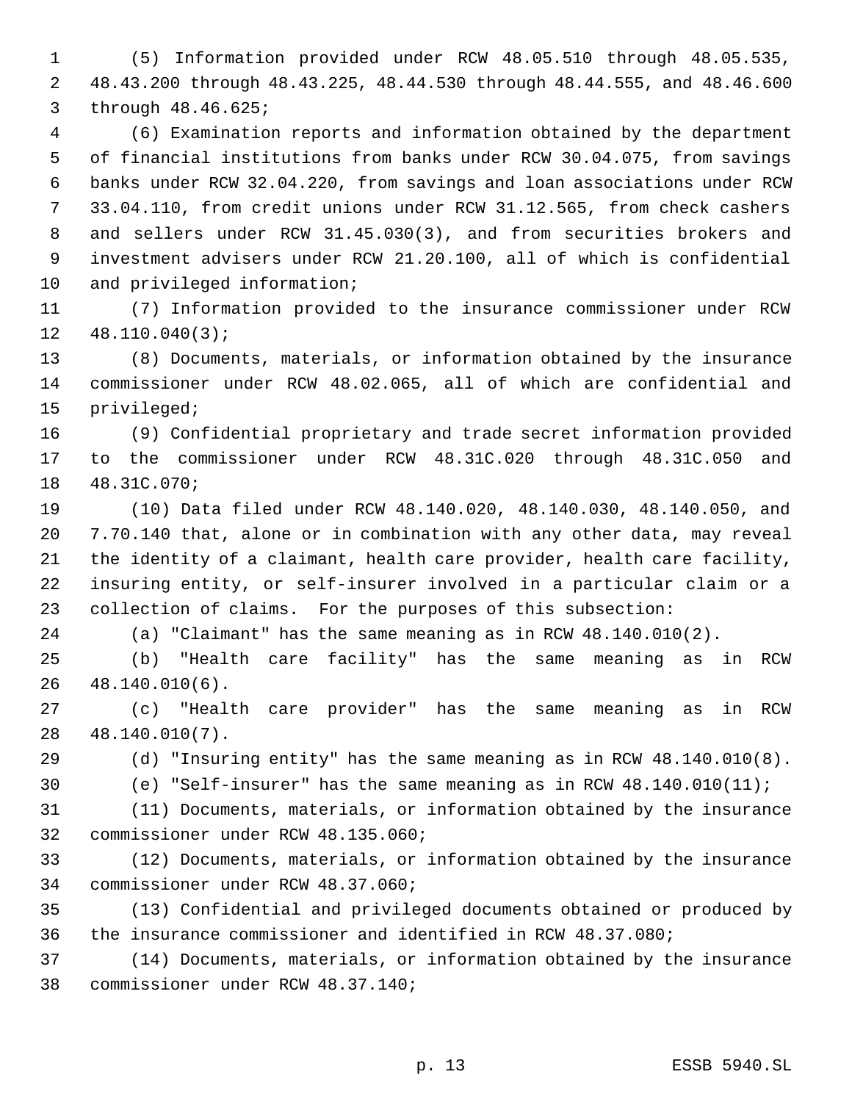(5) Information provided under RCW 48.05.510 through 48.05.535, 48.43.200 through 48.43.225, 48.44.530 through 48.44.555, and 48.46.600 through 48.46.625;

 (6) Examination reports and information obtained by the department of financial institutions from banks under RCW 30.04.075, from savings banks under RCW 32.04.220, from savings and loan associations under RCW 33.04.110, from credit unions under RCW 31.12.565, from check cashers and sellers under RCW 31.45.030(3), and from securities brokers and investment advisers under RCW 21.20.100, all of which is confidential and privileged information;

 (7) Information provided to the insurance commissioner under RCW 48.110.040(3);

 (8) Documents, materials, or information obtained by the insurance commissioner under RCW 48.02.065, all of which are confidential and privileged;

 (9) Confidential proprietary and trade secret information provided to the commissioner under RCW 48.31C.020 through 48.31C.050 and 48.31C.070;

 (10) Data filed under RCW 48.140.020, 48.140.030, 48.140.050, and 7.70.140 that, alone or in combination with any other data, may reveal the identity of a claimant, health care provider, health care facility, insuring entity, or self-insurer involved in a particular claim or a collection of claims. For the purposes of this subsection:

(a) "Claimant" has the same meaning as in RCW 48.140.010(2).

 (b) "Health care facility" has the same meaning as in RCW 48.140.010(6).

 (c) "Health care provider" has the same meaning as in RCW 48.140.010(7).

(d) "Insuring entity" has the same meaning as in RCW 48.140.010(8).

(e) "Self-insurer" has the same meaning as in RCW 48.140.010(11);

 (11) Documents, materials, or information obtained by the insurance commissioner under RCW 48.135.060;

 (12) Documents, materials, or information obtained by the insurance commissioner under RCW 48.37.060;

 (13) Confidential and privileged documents obtained or produced by the insurance commissioner and identified in RCW 48.37.080;

 (14) Documents, materials, or information obtained by the insurance commissioner under RCW 48.37.140;